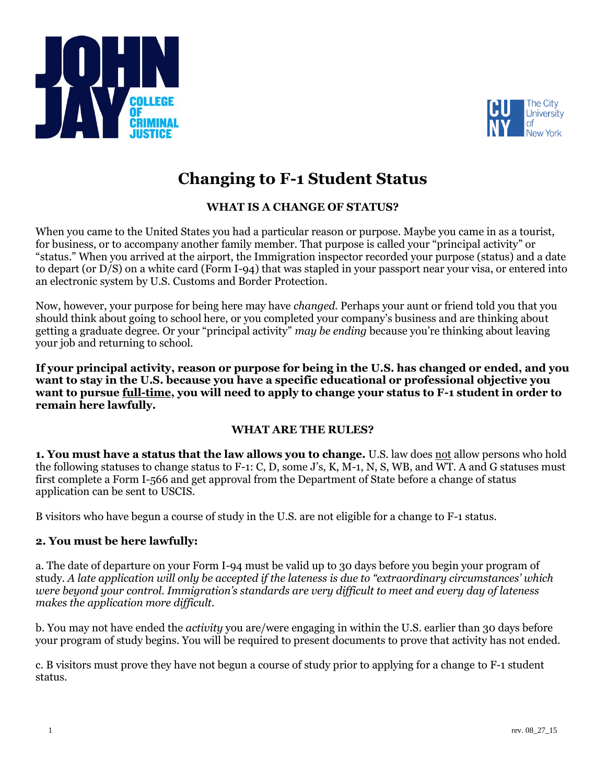



# **Changing to F-1 Student Status**

# **WHAT IS A CHANGE OF STATUS?**

When you came to the United States you had a particular reason or purpose. Maybe you came in as a tourist, for business, or to accompany another family member. That purpose is called your "principal activity" or "status." When you arrived at the airport, the Immigration inspector recorded your purpose (status) and a date to depart (or D/S) on a white card (Form I-94) that was stapled in your passport near your visa, or entered into an electronic system by U.S. Customs and Border Protection.

Now, however, your purpose for being here may have *changed.* Perhaps your aunt or friend told you that you should think about going to school here, or you completed your company's business and are thinking about getting a graduate degree. Or your "principal activity" *may be ending* because you're thinking about leaving your job and returning to school.

**If your principal activity, reason or purpose for being in the U.S. has changed or ended, and you want to stay in the U.S. because you have a specific educational or professional objective you want to pursue full-time, you will need to apply to change your status to F-1 student in order to remain here lawfully.** 

# **WHAT ARE THE RULES?**

**1. You must have a status that the law allows you to change.** U.S. law does not allow persons who hold the following statuses to change status to F-1: C, D, some J's, K, M-1, N, S, WB, and WT. A and G statuses must first complete a Form I-566 and get approval from the Department of State before a change of status application can be sent to USCIS.

B visitors who have begun a course of study in the U.S. are not eligible for a change to F-1 status.

# **2. You must be here lawfully:**

a. The date of departure on your Form I-94 must be valid up to 30 days before you begin your program of study. *A late application will only be accepted if the lateness is due to "extraordinary circumstances' which were beyond your control. Immigration's standards are very difficult to meet and every day of lateness makes the application more difficult.* 

b. You may not have ended the *activity* you are/were engaging in within the U.S. earlier than 30 days before your program of study begins. You will be required to present documents to prove that activity has not ended.

c. B visitors must prove they have not begun a course of study prior to applying for a change to F-1 student status.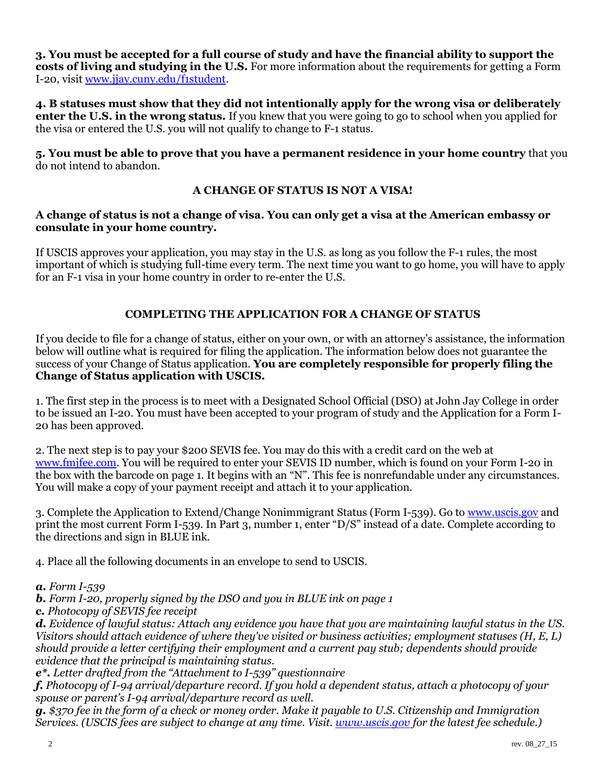**3. You must be accepted for a full course of study and have the financial ability to support the costs of living and studying in the U.S.** For more information about the requirements for getting a Form I-20, visit [www.jjay.cuny.edu/f1student.](http://www.jjay.cuny.edu/f1student)

**4. B statuses must show that they did not intentionally apply for the wrong visa or deliberately enter the U.S. in the wrong status.** If you knew that you were going to go to school when you applied for the visa or entered the U.S. you will not qualify to change to F-1 status.

**5. You must be able to prove that you have a permanent residence in your home country** that you do not intend to abandon.

# **A CHANGE OF STATUS IS NOT A VISA!**

#### **A change of status is not a change of visa. You can only get a visa at the American embassy or consulate in your home country.**

If USCIS approves your application, you may stay in the U.S. as long as you follow the F-1 rules, the most important of which is studying full-time every term. The next time you want to go home, you will have to apply for an F-1 visa in your home country in order to re-enter the U.S.

# **COMPLETING THE APPLICATION FOR A CHANGE OF STATUS**

If you decide to file for a change of status, either on your own, or with an attorney's assistance, the information below will outline what is required for filing the application. The information below does not guarantee the success of your Change of Status application. **You are completely responsible for properly filing the Change of Status application with USCIS.**

1. The first step in the process is to meet with a Designated School Official (DSO) at John Jay College in order to be issued an I-20. You must have been accepted to your program of study and the Application for a Form I-20 has been approved.

2. The next step is to pay your \$200 SEVIS fee. You may do this with a credit card on the web at [www.fmjfee.com.](http://www.fmjfee.com/) You will be required to enter your SEVIS ID number, which is found on your Form I-20 in the box with the barcode on page 1. It begins with an "N". This fee is nonrefundable under any circumstances. You will make a copy of your payment receipt and attach it to your application.

3. Complete the Application to Extend/Change Nonimmigrant Status (Form I-539). Go to [www.uscis.gov](http://www.uscis.gov/) and print the most current Form I-539. In Part 3, number 1, enter "D/S" instead of a date. Complete according to the directions and sign in BLUE ink.

4. Place all the following documents in an envelope to send to USCIS.

#### *a. Form I-539*

*b. Form I-20, properly signed by the DSO and you in BLUE ink on page 1* 

*c. Photocopy of SEVIS fee receipt*

*d. Evidence of lawful status: Attach any evidence you have that you are maintaining lawful status in the US. Visitors should attach evidence of where they've visited or business activities; employment statuses (H, E, L) should provide a letter certifying their employment and a current pay stub; dependents should provide evidence that the principal is maintaining status.*

*e\*. Letter drafted from the "Attachment to I-539" questionnaire*

*f. Photocopy of I-94 arrival/departure record. If you hold a dependent status, attach a photocopy of your spouse or parent's I-94 arrival/departure record as well.*

*g. \$370 fee in the form of a check or money order. Make it payable to U.S. Citizenship and Immigration Services. (USCIS fees are subject to change at any time. Visit. [www.uscis.gov](http://www.uscis.gov/) for the latest fee schedule.)*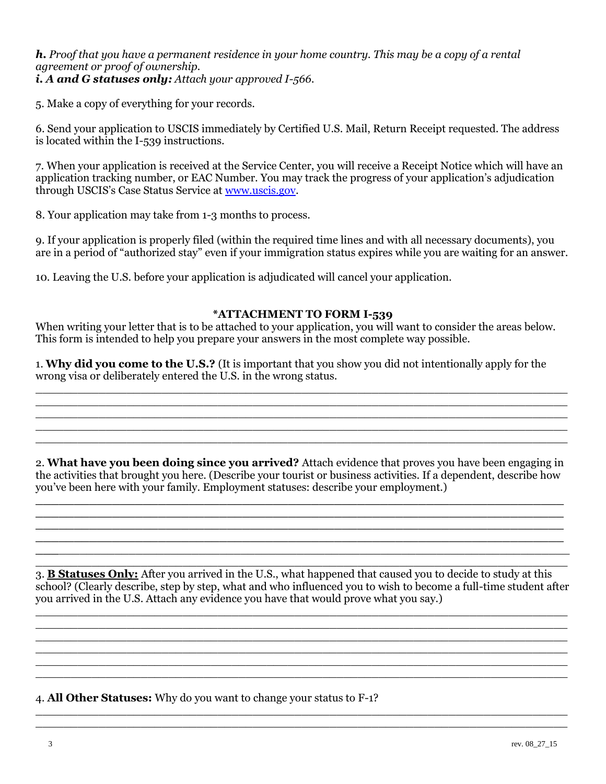# *h. Proof that you have a permanent residence in your home country. This may be a copy of a rental agreement or proof of ownership. i. A and G statuses only: Attach your approved I-566.*

5. Make a copy of everything for your records.

6. Send your application to USCIS immediately by Certified U.S. Mail, Return Receipt requested. The address is located within the I-539 instructions.

7. When your application is received at the Service Center, you will receive a Receipt Notice which will have an application tracking number, or EAC Number. You may track the progress of your application's adjudication through USCIS's Case Status Service at [www.uscis.gov.](http://www.uscis.gov/)

8. Your application may take from 1-3 months to process.

9. If your application is properly filed (within the required time lines and with all necessary documents), you are in a period of "authorized stay" even if your immigration status expires while you are waiting for an answer.

10. Leaving the U.S. before your application is adjudicated will cancel your application.

# **\*ATTACHMENT TO FORM I-539**

When writing your letter that is to be attached to your application, you will want to consider the areas below. This form is intended to help you prepare your answers in the most complete way possible.

1. **Why did you come to the U.S.?** (It is important that you show you did not intentionally apply for the wrong visa or deliberately entered the U.S. in the wrong status.

\_\_\_\_\_\_\_\_\_\_\_\_\_\_\_\_\_\_\_\_\_\_\_\_\_\_\_\_\_\_\_\_\_\_\_\_\_\_\_\_\_\_\_\_\_\_\_\_\_\_\_\_\_\_\_\_\_\_\_\_\_\_\_\_\_\_\_\_\_\_\_\_\_\_\_\_

\_\_\_\_\_\_\_\_\_\_\_\_\_\_\_\_\_\_\_\_\_\_\_\_\_\_\_\_\_\_\_\_\_\_\_\_\_\_\_\_\_\_\_\_\_\_\_\_\_\_\_\_\_\_\_\_\_\_\_\_\_\_\_\_\_\_\_\_\_\_\_\_\_\_\_\_ \_\_\_\_\_\_\_\_\_\_\_\_\_\_\_\_\_\_\_\_\_\_\_\_\_\_\_\_\_\_\_\_\_\_\_\_\_\_\_\_\_\_\_\_\_\_\_\_\_\_\_\_\_\_\_\_\_\_\_\_\_\_\_\_\_\_\_\_\_\_\_\_\_\_\_\_ \_\_\_\_\_\_\_\_\_\_\_\_\_\_\_\_\_\_\_\_\_\_\_\_\_\_\_\_\_\_\_\_\_\_\_\_\_\_\_\_\_\_\_\_\_\_\_\_\_\_\_\_\_\_\_\_\_\_\_\_\_\_\_\_\_\_\_\_\_\_\_\_\_\_\_\_

 $\mathcal{L}_\text{max}$  and  $\mathcal{L}_\text{max}$  and  $\mathcal{L}_\text{max}$  and  $\mathcal{L}_\text{max}$  are the set of  $\mathcal{L}_\text{max}$ 

2. **What have you been doing since you arrived?** Attach evidence that proves you have been engaging in the activities that brought you here. (Describe your tourist or business activities. If a dependent, describe how you've been here with your family. Employment statuses: describe your employment.)

**\_\_\_\_\_\_\_\_\_\_\_\_\_\_\_\_\_\_\_\_\_\_\_\_\_\_\_\_\_\_\_\_\_\_\_\_\_\_\_\_\_\_\_\_\_\_\_\_\_\_\_\_\_\_\_\_\_\_\_\_\_\_\_\_\_\_\_\_\_ \_\_\_\_\_\_\_\_\_\_\_\_\_\_\_\_\_\_\_\_\_\_\_\_\_\_\_\_\_\_\_\_\_\_\_\_\_\_\_\_\_\_\_\_\_\_\_\_\_\_\_\_\_\_\_\_\_\_\_\_\_\_\_\_\_\_\_\_\_**

\_\_\_\_\_\_\_\_\_\_\_\_\_\_\_\_\_\_\_\_\_\_\_\_\_\_\_\_\_\_\_\_\_\_\_\_\_\_\_\_\_\_\_\_\_\_\_\_\_\_\_\_\_\_\_\_\_\_\_\_\_\_\_\_\_\_\_\_\_\_\_\_\_\_\_\_ 3. **B Statuses Only:** After you arrived in the U.S., what happened that caused you to decide to study at this school? (Clearly describe, step by step, what and who influenced you to wish to become a full-time student after you arrived in the U.S. Attach any evidence you have that would prove what you say.)

\_\_\_\_\_\_\_\_\_\_\_\_\_\_\_\_\_\_\_\_\_\_\_\_\_\_\_\_\_\_\_\_\_\_\_\_\_\_\_\_\_\_\_\_\_\_\_\_\_\_\_\_\_\_\_\_\_\_\_\_\_\_\_\_\_\_\_\_\_\_\_\_\_\_\_\_ \_\_\_\_\_\_\_\_\_\_\_\_\_\_\_\_\_\_\_\_\_\_\_\_\_\_\_\_\_\_\_\_\_\_\_\_\_\_\_\_\_\_\_\_\_\_\_\_\_\_\_\_\_\_\_\_\_\_\_\_\_\_\_\_\_\_\_\_\_\_\_\_\_\_\_\_

\_\_\_\_\_\_\_\_\_\_\_\_\_\_\_\_\_\_\_\_\_\_\_\_\_\_\_\_\_\_\_\_\_\_\_\_\_\_\_\_\_\_\_\_\_\_\_\_\_\_\_\_\_\_\_\_\_\_\_\_\_\_\_\_\_\_\_\_\_\_\_\_\_\_\_\_ \_\_\_\_\_\_\_\_\_\_\_\_\_\_\_\_\_\_\_\_\_\_\_\_\_\_\_\_\_\_\_\_\_\_\_\_\_\_\_\_\_\_\_\_\_\_\_\_\_\_\_\_\_\_\_\_\_\_\_\_\_\_\_\_\_\_\_\_\_\_\_\_\_\_\_\_

\_\_\_\_\_\_\_\_\_\_\_\_\_\_\_\_\_\_\_\_\_\_\_\_\_\_\_\_\_\_\_\_\_\_\_\_\_\_\_\_\_\_\_\_\_\_\_\_\_\_\_\_\_\_\_\_\_\_\_\_\_\_\_\_\_\_\_\_\_\_\_\_\_\_\_\_ \_\_\_\_\_\_\_\_\_\_\_\_\_\_\_\_\_\_\_\_\_\_\_\_\_\_\_\_\_\_\_\_\_\_\_\_\_\_\_\_\_\_\_\_\_\_\_\_\_\_\_\_\_\_\_\_\_\_\_\_\_\_\_\_\_\_\_\_\_\_\_\_\_\_\_\_

**\_\_\_**\_\_\_\_\_\_\_\_\_\_\_\_\_\_\_\_\_\_\_\_\_\_\_\_\_\_\_\_\_\_\_\_\_\_\_\_\_\_\_\_\_\_\_\_\_\_\_\_\_\_\_\_\_\_\_\_\_\_\_\_\_\_\_\_\_\_\_\_\_\_\_\_\_

4. **All Other Statuses:** Why do you want to change your status to F-1?